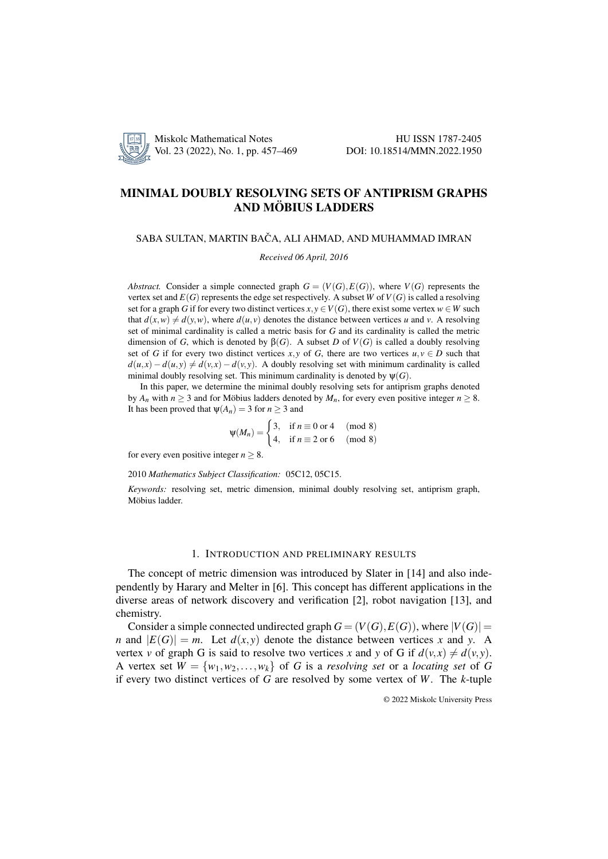

# MINIMAL DOUBLY RESOLVING SETS OF ANTIPRISM GRAPHS AND MÖBIUS LADDERS

## SABA SULTAN, MARTIN BAČA, ALI AHMAD, AND MUHAMMAD IMRAN

*Received 06 April, 2016*

*Abstract.* Consider a simple connected graph  $G = (V(G), E(G))$ , where  $V(G)$  represents the vertex set and  $E(G)$  represents the edge set respectively. A subset *W* of  $V(G)$  is called a resolving set for a graph *G* if for every two distinct vertices  $x, y \in V(G)$ , there exist some vertex  $w \in W$  such that  $d(x, w) \neq d(y, w)$ , where  $d(u, v)$  denotes the distance between vertices *u* and *v*. A resolving set of minimal cardinality is called a metric basis for *G* and its cardinality is called the metric dimension of *G*, which is denoted by  $β(G)$ . A subset *D* of  $V(G)$  is called a doubly resolving set of *G* if for every two distinct vertices *x*, *y* of *G*, there are two vertices  $u, v \in D$  such that  $d(u, x) - d(u, y) \neq d(v, x) - d(v, y)$ . A doubly resolving set with minimum cardinality is called minimal doubly resolving set. This minimum cardinality is denoted by  $\Psi(G)$ .

In this paper, we determine the minimal doubly resolving sets for antiprism graphs denoted by  $A_n$  with  $n \geq 3$  and for Möbius ladders denoted by  $M_n$ , for every even positive integer  $n \geq 8$ . It has been proved that  $\psi(A_n) = 3$  for  $n > 3$  and

$$
\Psi(M_n) = \begin{cases} 3, & \text{if } n \equiv 0 \text{ or } 4 \pmod{8} \\ 4, & \text{if } n \equiv 2 \text{ or } 6 \pmod{8} \end{cases}
$$

for every even positive integer  $n > 8$ .

2010 *Mathematics Subject Classification:* 05C12, 05C15.

*Keywords:* resolving set, metric dimension, minimal doubly resolving set, antiprism graph, Möbius ladder.

## 1. INTRODUCTION AND PRELIMINARY RESULTS

The concept of metric dimension was introduced by Slater in [14] and also independently by Harary and Melter in [6]. This concept has different applications in the diverse areas of network discovery and verification [2], robot navigation [13], and chemistry.

Consider a simple connected undirected graph  $G = (V(G), E(G))$ , where  $|V(G)| =$ *n* and  $|E(G)| = m$ . Let  $d(x, y)$  denote the distance between vertices *x* and *y*. A vertex *v* of graph G is said to resolve two vertices *x* and *y* of G if  $d(v, x) \neq d(v, y)$ . A vertex set  $W = \{w_1, w_2, \ldots, w_k\}$  of *G* is a *resolving set* or a *locating set* of *G* if every two distinct vertices of *G* are resolved by some vertex of *W*. The *k*-tuple

© 2022 Miskolc University Press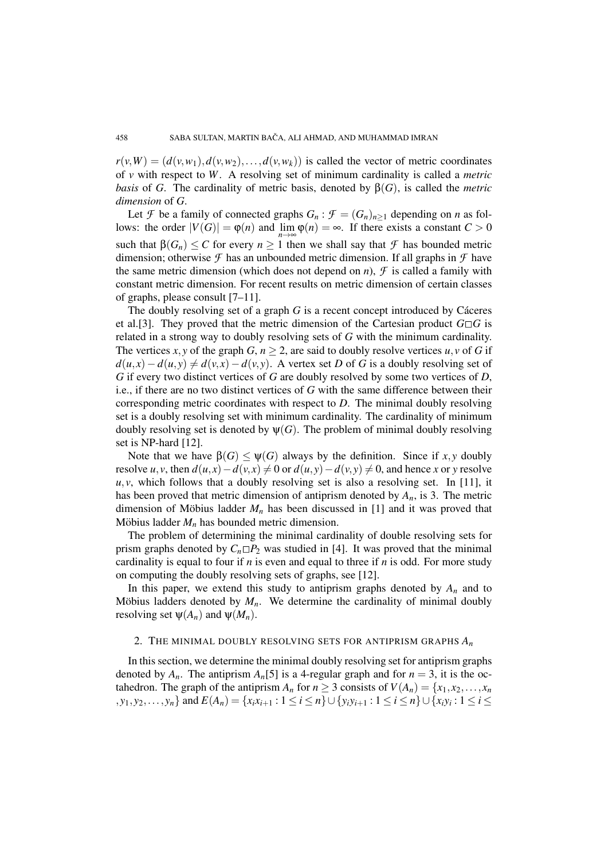$r(v, W) = (d(v, w_1), d(v, w_2), \ldots, d(v, w_k))$  is called the vector of metric coordinates of *v* with respect to *W*. A resolving set of minimum cardinality is called a *metric basis* of *G*. The cardinality of metric basis, denoted by  $\beta(G)$ , is called the *metric dimension* of *G*.

Let *F* be a family of connected graphs  $G_n$ :  $\mathcal{F} = (G_n)_{n \geq 1}$  depending on *n* as follows: the order  $|V(G)| = \varphi(n)$  and  $\lim_{m \to \infty} \varphi(n) = \infty$ . If there exists a constant  $C > 0$ *n*→∞ such that  $\beta(G_n) \leq C$  for every  $n \geq 1$  then we shall say that  $\mathcal F$  has bounded metric dimension; otherwise  $\mathcal F$  has an unbounded metric dimension. If all graphs in  $\mathcal F$  have the same metric dimension (which does not depend on *n*),  $\mathcal F$  is called a family with constant metric dimension. For recent results on metric dimension of certain classes of graphs, please consult [7–11].

The doubly resolving set of a graph  $G$  is a recent concept introduced by Cáceres et al.[3]. They proved that the metric dimension of the Cartesian product  $G \Box G$  is related in a strong way to doubly resolving sets of *G* with the minimum cardinality. The vertices *x*, *y* of the graph *G*,  $n \geq 2$ , are said to doubly resolve vertices *u*, *v* of *G* if  $d(u, x) - d(u, y) \neq d(v, x) - d(v, y)$ . A vertex set *D* of *G* is a doubly resolving set of *G* if every two distinct vertices of *G* are doubly resolved by some two vertices of *D*, i.e., if there are no two distinct vertices of *G* with the same difference between their corresponding metric coordinates with respect to *D*. The minimal doubly resolving set is a doubly resolving set with minimum cardinality. The cardinality of minimum doubly resolving set is denoted by  $\psi(G)$ . The problem of minimal doubly resolving set is NP-hard [12].

Note that we have  $β(G) ≤ ψ(G)$  always by the definition. Since if *x*, *y* doubly resolve *u*, *v*, then  $d(u, x) - d(v, x) \neq 0$  or  $d(u, y) - d(v, y) \neq 0$ , and hence *x* or *y* resolve  $u, v$ , which follows that a doubly resolving set is also a resolving set. In [11], it has been proved that metric dimension of antiprism denoted by *An*, is 3. The metric dimension of Möbius ladder  $M_n$  has been discussed in [1] and it was proved that Möbius ladder  $M_n$  has bounded metric dimension.

The problem of determining the minimal cardinality of double resolving sets for prism graphs denoted by  $C_n \Box P_2$  was studied in [4]. It was proved that the minimal cardinality is equal to four if *n* is even and equal to three if *n* is odd. For more study on computing the doubly resolving sets of graphs, see [12].

In this paper, we extend this study to antiprism graphs denoted by  $A_n$  and to Möbius ladders denoted by  $M_n$ . We determine the cardinality of minimal doubly resolving set  $\psi(A_n)$  and  $\psi(M_n)$ .

## 2. THE MINIMAL DOUBLY RESOLVING SETS FOR ANTIPRISM GRAPHS *A<sup>n</sup>*

In this section, we determine the minimal doubly resolving set for antiprism graphs denoted by  $A_n$ . The antiprism  $A_n[5]$  is a 4-regular graph and for  $n = 3$ , it is the octahedron. The graph of the antiprism  $A_n$  for  $n \geq 3$  consists of  $V(A_n) = \{x_1, x_2, \ldots, x_n\}$  $\{y_1, y_2, \ldots, y_n\}$  and  $E(A_n) = \{x_i x_{i+1} : 1 \le i \le n\} \cup \{y_i y_{i+1} : 1 \le i \le n\} \cup \{x_i y_i : 1 \le i \le n\}$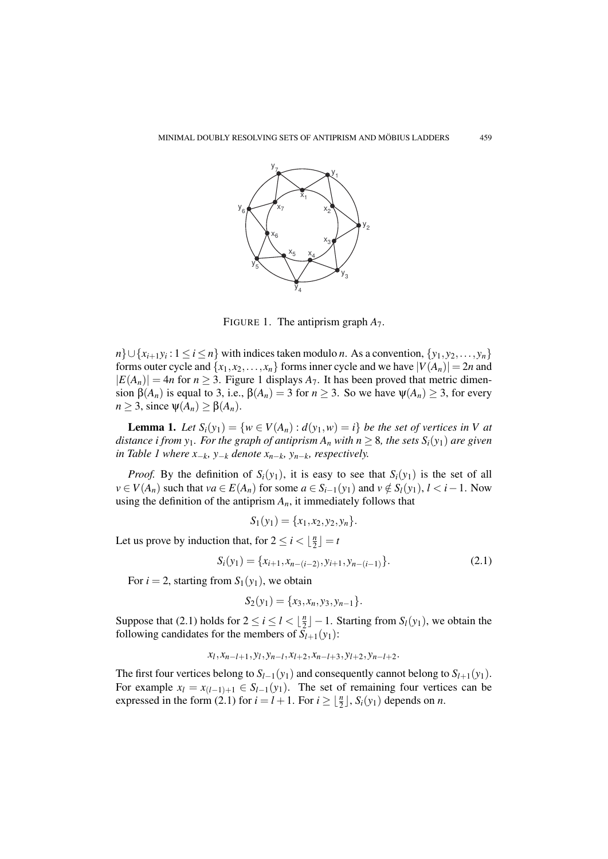

FIGURE 1. The antiprism graph *A*7.

*n*}∪{*x*<sub>*i*+1</sub>*y*<sub>*i*</sub> : 1 ≤ *i* ≤ *n*} with indices taken modulo *n*. As a convention, {*y*<sub>1</sub>, *y*<sub>2</sub>,..., *y*<sub>*n*</sub>} forms outer cycle and  $\{x_1, x_2, \ldots, x_n\}$  forms inner cycle and we have  $|V(A_n)| = 2n$  and  $|E(A_n)| = 4n$  for  $n \geq 3$ . Figure 1 displays  $A_7$ . It has been proved that metric dimension β(*A<sub>n</sub>*) is equal to 3, i.e., β(*A<sub>n</sub>*) = 3 for *n* ≥ 3. So we have  $ψ(A_n) ≥ 3$ , for every  $n \geq 3$ , since  $\psi(A_n) \geq \beta(A_n)$ .

**Lemma 1.** Let  $S_i(y_1) = \{w \in V(A_n) : d(y_1, w) = i\}$  be the set of vertices in V at *distance i from y<sub>1</sub>. For the graph of antiprism*  $A_n$  *with*  $n \geq 8$ *, the sets*  $S_i(y_1)$  *are given in Table 1 where*  $x_{-k}$ *, y<sub>−</sub>k</sub> denote*  $x_{n-k}$ *, y<sub>n−</sub>k, respectively.* 

*Proof.* By the definition of  $S_i(y_1)$ , it is easy to see that  $S_i(y_1)$  is the set of all *v* ∈ *V*(*A<sub>n</sub>*) such that *va* ∈ *E*(*A<sub>n</sub>*) for some *a* ∈ *S<sub><i>i*</sub>−1(*y*<sub>1</sub>) and *v* ∉ *S<sub><i>i*</sub>(*y*<sub>1</sub>), *l* < *i* − 1. Now using the definition of the antiprism  $A_n$ , it immediately follows that

$$
S_1(y_1) = \{x_1, x_2, y_2, y_n\}.
$$

Let us prove by induction that, for  $2 \le i < \frac{n}{2}$  $\frac{n}{2}$ ] = *t* 

$$
S_i(y_1) = \{x_{i+1}, x_{n-(i-2)}, y_{i+1}, y_{n-(i-1)}\}.
$$
\n(2.1)

For  $i = 2$ , starting from  $S_1(y_1)$ , we obtain

$$
S_2(y_1) = \{x_3, x_n, y_3, y_{n-1}\}.
$$

Suppose that (2.1) holds for  $2 \le i \le l < \frac{n}{2}$  $\lfloor \frac{n}{2} \rfloor - 1$ . Starting from  $S_l(y_1)$ , we obtain the following candidates for the members of  $S_{l+1}(y_1)$ :

$$
x_l, x_{n-l+1}, y_l, y_{n-l}, x_{l+2}, x_{n-l+3}, y_{l+2}, y_{n-l+2}.
$$

The first four vertices belong to  $S_{l-1}(y_1)$  and consequently cannot belong to  $S_{l+1}(y_1)$ . For example  $x_l = x_{(l-1)+1} \in S_{l-1}(y_1)$ . The set of remaining four vertices can be expressed in the form  $(2.1)$  for  $i = l + 1$ . For  $i \geq \lfloor \frac{n}{2} \rfloor$ ,  $S_i(y_1)$  depends on *n*.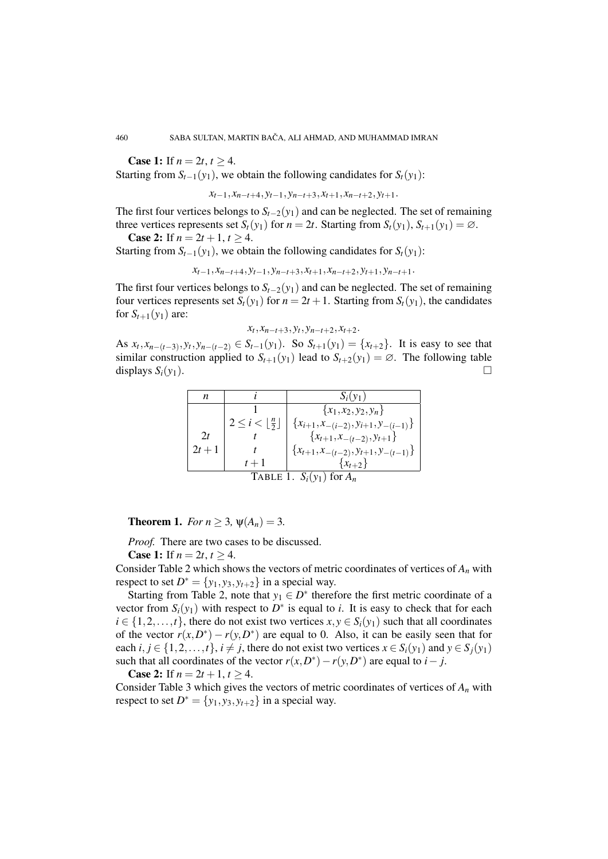**Case 1:** If  $n = 2t, t \ge 4$ .

Starting from  $S_{t-1}(y_1)$ , we obtain the following candidates for  $S_t(y_1)$ :

*xt*−1, *xn*−*t*+4, *yt*−1, *yn*−*t*+3, *xt*+1, *xn*−*t*+2, *yt*+1.

The first four vertices belongs to  $S_{t-2}(y_1)$  and can be neglected. The set of remaining three vertices represents set  $S_t(y_1)$  for  $n = 2t$ . Starting from  $S_t(y_1)$ ,  $S_{t+1}(y_1) = \emptyset$ .

**Case 2:** If  $n = 2t + 1, t \ge 4$ .

Starting from  $S_{t-1}(y_1)$ , we obtain the following candidates for  $S_t(y_1)$ :

$$
x_{t-1}, x_{n-t+4}, y_{t-1}, y_{n-t+3}, x_{t+1}, x_{n-t+2}, y_{t+1}, y_{n-t+1}.
$$

The first four vertices belongs to  $S_{t-2}(y_1)$  and can be neglected. The set of remaining four vertices represents set  $S_t(y_1)$  for  $n = 2t + 1$ . Starting from  $S_t(y_1)$ , the candidates for  $S_{t+1}(y_1)$  are:

$$
x_t, x_{n-t+3}, y_t, y_{n-t+2}, x_{t+2}.
$$

As  $x_t, x_{n-(t-3)}, y_t, y_{n-(t-2)} \in S_{t-1}(y_1)$ . So  $S_{t+1}(y_1) = \{x_{t+2}\}$ . It is easy to see that similar construction applied to  $S_{t+1}(y_1)$  lead to  $S_{t+2}(y_1) = \emptyset$ . The following table displays  $S_i(y_1)$ .

| n                             |                            |                                                |
|-------------------------------|----------------------------|------------------------------------------------|
|                               |                            | ${x_1, x_2, y_2, y_n}$                         |
|                               | $2 \leq i <  \frac{n}{2} $ | ${x_{i+1},x_{-(i-2)},y_{i+1},y_{-(i-1)}\}$     |
| 2t                            |                            | $\{x_{t+1}, x_{-(t-2)}, y_{t+1}\}\$            |
| $2t + 1$                      |                            | $\{x_{t+1}, x_{-(t-2)}, y_{t+1}, y_{-(t-1)}\}$ |
|                               | $t+1$                      | $\{x_{t+2}\}\$                                 |
| TABLE 1. $S_i(y_1)$ for $A_n$ |                            |                                                |

**Theorem 1.** *For*  $n \ge 3$ ,  $\psi(A_n) = 3$ .

*Proof.* There are two cases to be discussed.

**Case 1:** If  $n = 2t, t > 4$ .

Consider Table 2 which shows the vectors of metric coordinates of vertices of *A<sup>n</sup>* with respect to set  $D^* = \{y_1, y_3, y_{t+2}\}\$ in a special way.

Starting from Table 2, note that  $y_1 \in D^*$  therefore the first metric coordinate of a vector from  $S_i(y_1)$  with respect to  $D^*$  is equal to *i*. It is easy to check that for each  $i \in \{1, 2, \ldots, t\}$ , there do not exist two vertices  $x, y \in S_i(y_1)$  such that all coordinates of the vector  $r(x, D^*) - r(y, D^*)$  are equal to 0. Also, it can be easily seen that for each  $i, j \in \{1, 2, \ldots, t\}, i \neq j$ , there do not exist two vertices  $x \in S_i(y_1)$  and  $y \in S_i(y_1)$ such that all coordinates of the vector  $r(x, D^*) - r(y, D^*)$  are equal to *i* − *j*.

**Case 2:** If  $n = 2t + 1, t \ge 4$ .

Consider Table 3 which gives the vectors of metric coordinates of vertices of  $A_n$  with respect to set  $D^* = \{y_1, y_3, y_{t+2}\}\$ in a special way.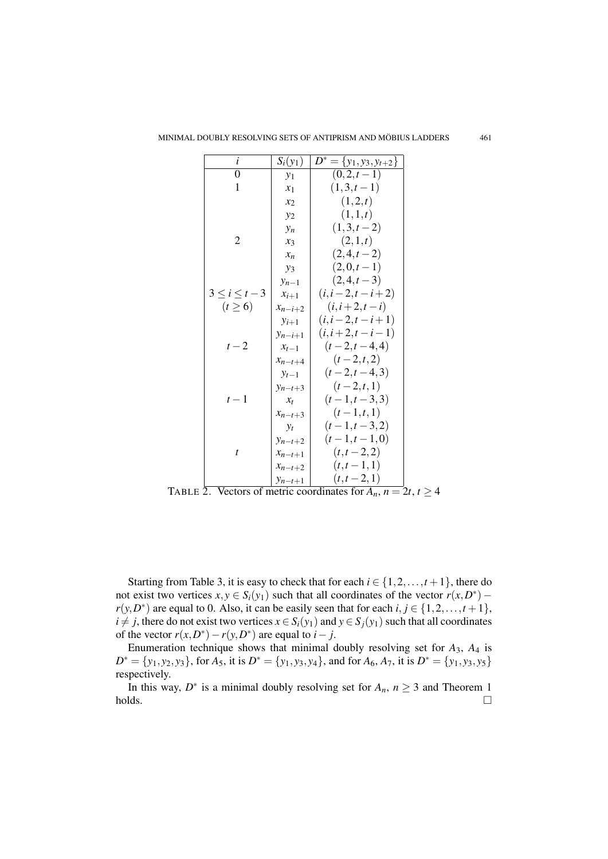| i                 | $S_i(y_1)$  | $D^* = \{y_1, y_3, y_{t+2}\}\$ |
|-------------------|-------------|--------------------------------|
| 0                 | $y_1$       | $(0,2,t-1)$                    |
| 1                 | $x_1$       | $(1,3,t-1)$                    |
|                   | $x_2$       | (1,2,t)                        |
|                   | $y_2$       | (1,1,t)                        |
|                   | $y_n$       | $(1,3,t-2)$                    |
| 2                 | $x_3$       | (2,1,t)                        |
|                   | $x_n$       | $(2,4,t-2)$                    |
|                   | $y_3$       | $(2,0,t-1)$                    |
|                   | $y_{n-1}$   | $(2,4,t-3)$                    |
| $3\leq i\leq t-3$ | $x_{i+1}$   | $(i, i-2, t-i+2)$              |
| $(t \geq 6)$      | $x_{n-i+2}$ | $(i, i + 2, t - i)$            |
|                   | $y_{i+1}$   | $(i, i-2, t-i+1)$              |
|                   | $y_{n-i+1}$ | $(i, i+2, t-i-1)$              |
| $t-2$             | $x_{t-1}$   | $(t-2,t-4,4)$                  |
|                   | $x_{n-t+4}$ | $(t-2,t,2)$                    |
|                   | $y_{t-1}$   | $(t-2,t-4,3)$                  |
|                   | $y_{n-t+3}$ | $(t-2,t,1)$                    |
| $t-1$             | $x_t$       | $(t-1,t-3,3)$                  |
|                   | $x_{n-t+3}$ | $(t-1,t,1)$                    |
|                   | $y_t$       | $(t-1,t-3,2)$                  |
|                   | $y_{n-t+2}$ | $(t-1,t-1,0)$                  |
| t                 | $x_{n-t+1}$ | $(t,t-2,2)$                    |
|                   | $x_{n-t+2}$ | $(t,t-1,1)$                    |
|                   | $y_{n-t+1}$ | $(t, t-2, 1)$                  |

TABLE 2. Vectors of metric coordinates for  $A_n$ ,  $n = 2t$ ,  $t \ge 4$ 

Starting from Table 3, it is easy to check that for each  $i \in \{1, 2, ..., t+1\}$ , there do not exist two vertices  $x, y \in S_i(y_1)$  such that all coordinates of the vector  $r(x, D^*)$  –  $r(y, D^*)$  are equal to 0. Also, it can be easily seen that for each  $i, j \in \{1, 2, ..., t + 1\}$ , *i*  $\neq$  *j*, there do not exist two vertices  $x \in S_i(y_1)$  and  $y \in S_j(y_1)$  such that all coordinates of the vector  $r(x, D^*) - r(y, D^*)$  are equal to  $i - j$ .

Enumeration technique shows that minimal doubly resolving set for *A*3, *A*<sup>4</sup> is  $D^* = \{y_1, y_2, y_3\}$ , for  $A_5$ , it is  $D^* = \{y_1, y_3, y_4\}$ , and for  $A_6$ ,  $A_7$ , it is  $D^* = \{y_1, y_3, y_5\}$ respectively.

In this way,  $D^*$  is a minimal doubly resolving set for  $A_n$ ,  $n \geq 3$  and Theorem 1 holds.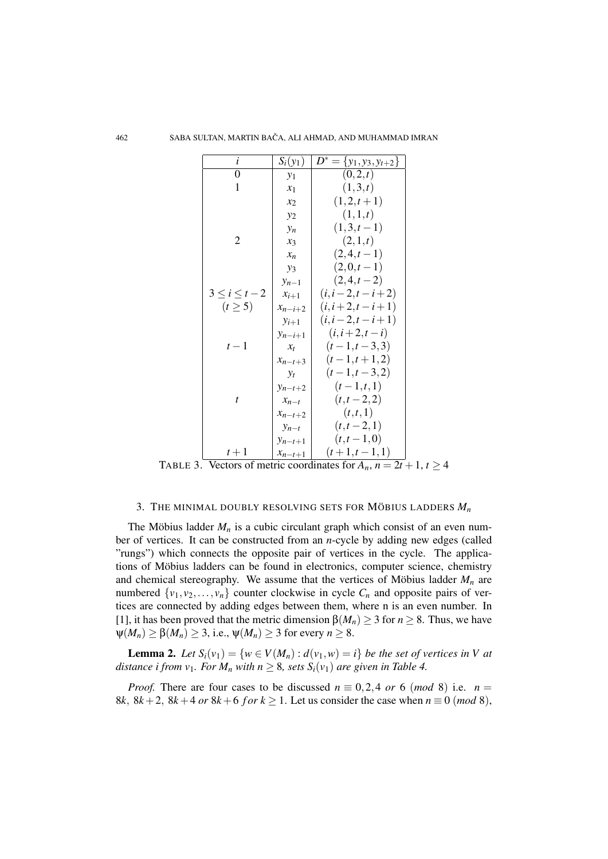| i                       | $S_i(y_1)$  | $D^* = \{y_1, y_3, y_{t+2}\}\$                          |
|-------------------------|-------------|---------------------------------------------------------|
| 0                       | $y_1$       | (0,2,t)                                                 |
| $\mathbf{1}$            | $x_1$       | (1,3,t)                                                 |
|                         | $x_2$       | $(1,2,t+1)$                                             |
|                         | $y_2$       | (1,1,t)                                                 |
|                         | $y_n$       | $(1,3,t-1)$                                             |
| 2                       | $x_3$       | (2,1,t)                                                 |
|                         | $x_n$       | $(2,4,t-1)$                                             |
|                         | $y_3$       | $(2,0,t-1)$                                             |
|                         | $y_{n-1}$   | $(2,4,t-2)$                                             |
| $3\leq i\leq t-2$       | $x_{i+1}$   | $(i, i-2, t-i+2)$                                       |
| $(t \geq 5)$            | $x_{n-i+2}$ | $(i, i+2, t-i+1)$                                       |
|                         | $y_{i+1}$   | $(i, i-2, t-i+1)$                                       |
|                         | $y_{n-i+1}$ | $(i, i+2, t-i)$                                         |
| $t-1$                   | $x_t$       | $(t-1,t-3,3)$                                           |
|                         | $x_{n-t+3}$ | $(t-1,t+1,2)$                                           |
|                         | $y_t$       | $(t-1,t-3,2)$                                           |
|                         | $y_{n-t+2}$ | $(t-1,t,1)$                                             |
| t                       | $x_{n-t}$   | $(t,t-2,2)$                                             |
|                         | $x_{n-t+2}$ | (t, t, 1)                                               |
|                         | $y_{n-t}$   | $(t,t-2,1)$                                             |
|                         | $y_{n-t+1}$ | $(t,t-1,0)$                                             |
| $t+1$<br>$\overline{I}$ | $x_{n-t+1}$ | $(t+1,t-1,1)$<br>$\overline{21}$ + 1<br>$\overline{1!}$ |

TABLE 3. Vectors of metric coordinates for  $A_n$ ,  $n = 2t + 1$ ,  $t \ge 4$ 

## 3. THE MINIMAL DOUBLY RESOLVING SETS FOR MÖBIUS LADDERS  $M_n$

The Möbius ladder  $M_n$  is a cubic circulant graph which consist of an even number of vertices. It can be constructed from an *n*-cycle by adding new edges (called "rungs") which connects the opposite pair of vertices in the cycle. The applications of Möbius ladders can be found in electronics, computer science, chemistry and chemical stereography. We assume that the vertices of Möbius ladder  $M_n$  are numbered  $\{v_1, v_2, \ldots, v_n\}$  counter clockwise in cycle  $C_n$  and opposite pairs of vertices are connected by adding edges between them, where n is an even number. In [1], it has been proved that the metric dimension  $\beta(M_n) \geq 3$  for  $n \geq 8$ . Thus, we have  $\psi(M_n) \geq \beta(M_n) \geq 3$ , i.e.,  $\psi(M_n) \geq 3$  for every  $n \geq 8$ .

**Lemma 2.** Let  $S_i(v_1) = \{w \in V(M_n) : d(v_1, w) = i\}$  be the set of vertices in V at *distance i from v<sub>1</sub>. For M<sub>n</sub>* with  $n > 8$ , sets  $S_i(v_1)$  are given in Table 4.

*Proof.* There are four cases to be discussed  $n \equiv 0,2,4$  or 6 (*mod* 8) i.e.  $n =$ 8*k*,  $8k+2$ ,  $8k+4$  *or*  $8k+6$  *for*  $k \ge 1$ . Let us consider the case when  $n \equiv 0 \pmod{8}$ ,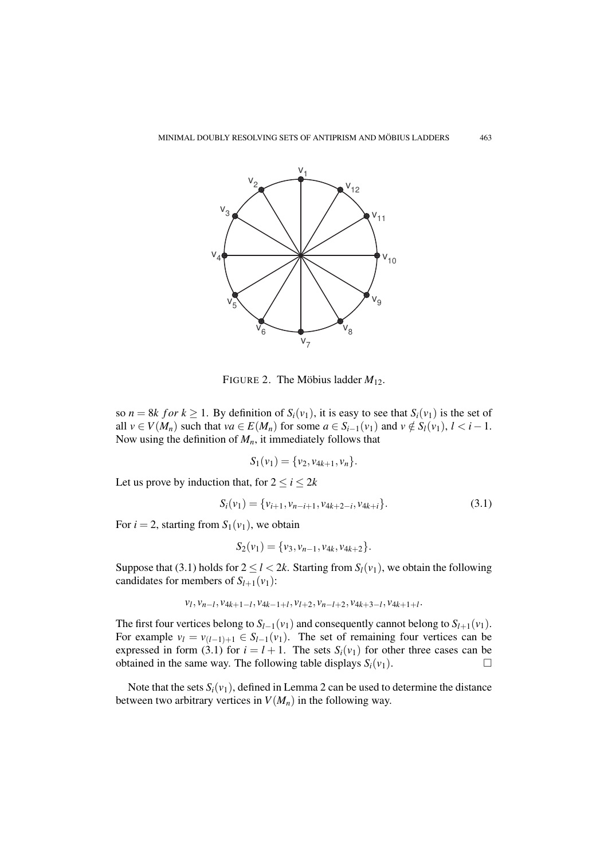

FIGURE 2. The Möbius ladder  $M_{12}$ .

so  $n = 8k$  for  $k \ge 1$ . By definition of  $S_i(v_1)$ , it is easy to see that  $S_i(v_1)$  is the set of all *v* ∈ *V*(*M<sub>n</sub>*) such that *va* ∈ *E*(*M<sub>n</sub>*) for some *a* ∈ *S*<sub>*i*−1</sub>(*v*<sub>1</sub>) and *v* ∉ *S*<sub>*l*</sub>(*v*<sub>1</sub>), *l* < *i* − 1. Now using the definition of  $M<sub>n</sub>$ , it immediately follows that

$$
S_1(v_1) = \{v_2, v_{4k+1}, v_n\}.
$$

Let us prove by induction that, for  $2 \le i \le 2k$ 

$$
S_i(v_1) = \{v_{i+1}, v_{n-i+1}, v_{4k+2-i}, v_{4k+i}\}.
$$
\n(3.1)

For  $i = 2$ , starting from  $S_1(v_1)$ , we obtain

$$
S_2(v_1) = \{v_3, v_{n-1}, v_{4k}, v_{4k+2}\}.
$$

Suppose that (3.1) holds for  $2 \le l < 2k$ . Starting from  $S_l(v_1)$ , we obtain the following candidates for members of  $S_{l+1}(v_1)$ :

$$
v_l, v_{n-l}, v_{4k+1-l}, v_{4k-1+l}, v_{l+2}, v_{n-l+2}, v_{4k+3-l}, v_{4k+1+l}.
$$

The first four vertices belong to  $S_{l-1}(v_1)$  and consequently cannot belong to  $S_{l+1}(v_1)$ . For example  $v_l = v_{(l-1)+1} \in S_{l-1}(v_l)$ . The set of remaining four vertices can be expressed in form (3.1) for  $i = l + 1$ . The sets  $S_i(v_1)$  for other three cases can be obtained in the same way. The following table displays  $S_i(v_1)$ .

Note that the sets  $S_i(v_1)$ , defined in Lemma 2 can be used to determine the distance between two arbitrary vertices in  $V(M_n)$  in the following way.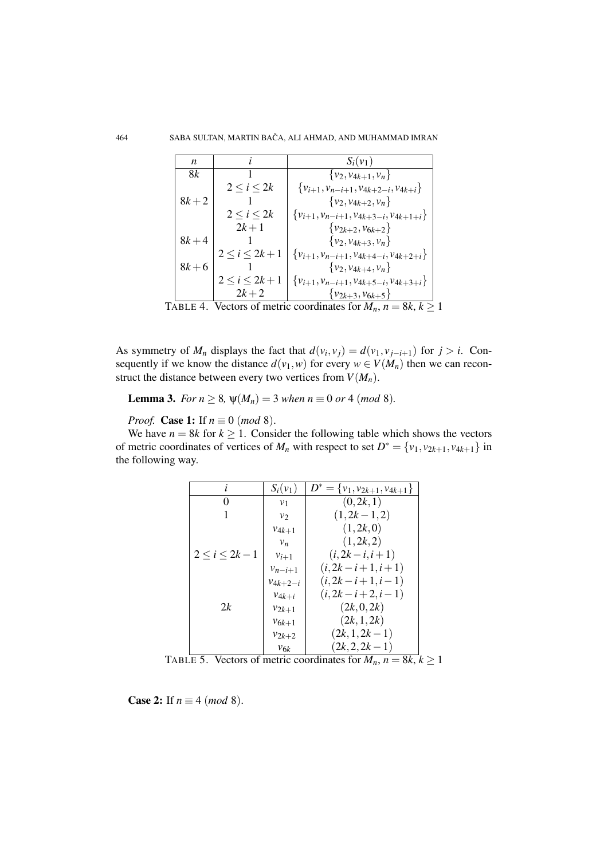| n                                                                       |                    | $S_i(v_1)$                                        |
|-------------------------------------------------------------------------|--------------------|---------------------------------------------------|
| 8k                                                                      |                    | $\{v_2, v_{4k+1}, v_n\}$                          |
|                                                                         | $2 \leq i \leq 2k$ | $\{v_{i+1}, v_{n-i+1}, v_{4k+2-i}, v_{4k+i}\}\$   |
| $8k + 2$                                                                |                    | $\{v_2, v_{4k+2}, v_n\}$                          |
|                                                                         | 2 < i < 2k         | $\{v_{i+1}, v_{n-i+1}, v_{4k+3-i}, v_{4k+1+i}\}\$ |
|                                                                         | $2k+1$             | $\{v_{2k+2}, v_{6k+2}\}\$                         |
| $8k + 4$                                                                |                    | $\{v_2, v_{4k+3}, v_n\}$                          |
|                                                                         | $2 < i < 2k + 1$   | $\{v_{i+1}, v_{n-i+1}, v_{4k+4-i}, v_{4k+2+i}\}\$ |
| $8k + 6$                                                                |                    | $\{v_2, v_{4k+4}, v_n\}$                          |
|                                                                         | $2 < i < 2k + 1$   | $\{v_{i+1}, v_{n-i+1}, v_{4k+5-i}, v_{4k+3+i}\}\$ |
|                                                                         | $2k + 2$           | $\{v_{2k+3}, v_{6k+5}\}\$                         |
| TABLE 4. Vectors of metric coordinates for $M_n$ , $n = 8k$ , $k \ge 1$ |                    |                                                   |

As symmetry of  $M_n$  displays the fact that  $d(v_i, v_j) = d(v_1, v_{j-i+1})$  for  $j > i$ . Consequently if we know the distance  $d(v_1, w)$  for every  $w \in V(M_n)$  then we can reconstruct the distance between every two vertices from  $V(M_n)$ .

**Lemma 3.** *For*  $n \ge 8$ ,  $\psi(M_n) = 3$  *when*  $n \equiv 0$  *or* 4 (*mod* 8)*.* 

*Proof.* **Case 1:** If  $n \equiv 0 \pmod{8}$ .

We have  $n = 8k$  for  $k \ge 1$ . Consider the following table which shows the vectors of metric coordinates of vertices of  $M_n$  with respect to set  $D^* = \{v_1, v_{2k+1}, v_{4k+1}\}\$  in the following way.

| i                    | $S_i(v_1)$     | $D^* = \{v_1, v_{2k+1}, v_{4k+1}\}\$ |
|----------------------|----------------|--------------------------------------|
| 0                    | v <sub>1</sub> | (0, 2k, 1)                           |
|                      | v <sub>2</sub> | $(1, 2k - 1, 2)$                     |
|                      | $v_{4k+1}$     | (1, 2k, 0)                           |
|                      | $v_n$          | (1, 2k, 2)                           |
| $2 \leq i \leq 2k-1$ | $v_{i+1}$      | $(i, 2k - i, i + 1)$                 |
|                      | $v_{n-i+1}$    | $(i, 2k-i+1, i+1)$                   |
|                      | $v_{4k+2-i}$   | $(i, 2k-i+1, i-1)$                   |
|                      | $v_{4k+i}$     | $(i, 2k-i+2, i-1)$                   |
| 2k                   | $v_{2k+1}$     | (2k, 0, 2k)                          |
|                      | $v_{6k+1}$     | (2k, 1, 2k)                          |
|                      | $v_{2k+2}$     | $(2k, 1, 2k-1)$                      |
|                      | $v_{6k}$       | $(2k, 2, 2k-1)$                      |

TABLE 5. Vectors of metric coordinates for  $M_n$ ,  $n = 8k$ ,  $k \ge 1$ 

**Case 2:** If  $n \equiv 4 \pmod{8}$ .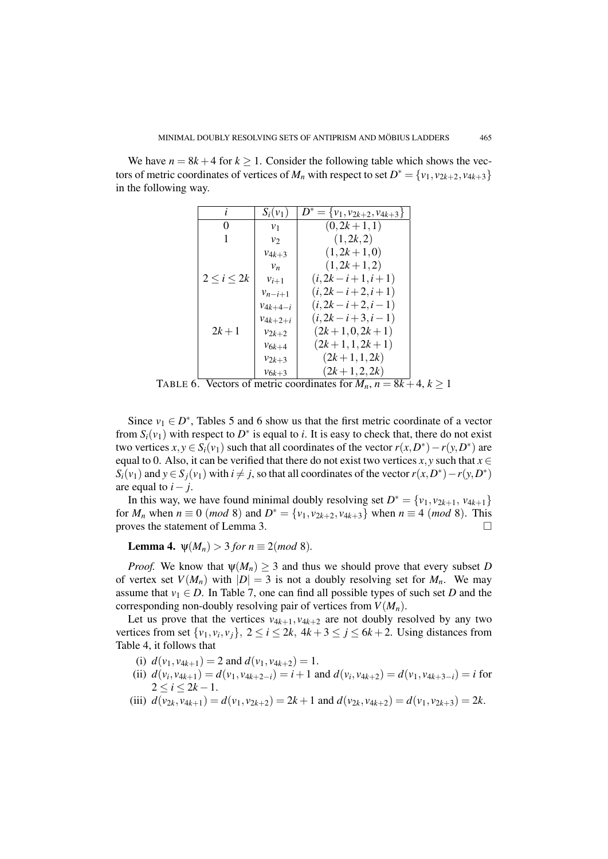We have  $n = 8k + 4$  for  $k \ge 1$ . Consider the following table which shows the vectors of metric coordinates of vertices of *M<sub>n</sub>* with respect to set  $D^* = \{v_1, v_{2k+2}, v_{4k+3}\}\$ in the following way.

|                    | $S_i(v_1)$   | $D^* = \{v_1, v_{2k+2}, v_{4k+3}\}\$ |
|--------------------|--------------|--------------------------------------|
| 0                  | $v_1$        | $(0, 2k+1, 1)$                       |
|                    | $v_{2}$      | (1, 2k, 2)                           |
|                    | $v_{4k+3}$   | $(1, 2k+1, 0)$                       |
|                    | $v_n$        | $(1, 2k+1, 2)$                       |
| $2 \leq i \leq 2k$ | $v_{i+1}$    | $(i, 2k-i+1, i+1)$                   |
|                    | $v_{n-i+1}$  | $(i, 2k-i+2, i+1)$                   |
|                    | $v_{4k+4-i}$ | $(i, 2k-i+2, i-1)$                   |
|                    | $v_{4k+2+i}$ | $(i, 2k-i+3, i-1)$                   |
| $2k + 1$           | $v_{2k+2}$   | $(2k+1,0,2k+1)$                      |
|                    | $v_{6k+4}$   | $(2k+1, 1, 2k+1)$                    |
|                    | $v_{2k+3}$   | $(2k+1, 1, 2k)$                      |
|                    | $v_{6k+3}$   | $(2k+1,2,2k)$                        |

TABLE 6. Vectors of metric coordinates for  $M_n$ ,  $n = 8k + 4$ ,  $k \ge 1$ 

Since  $v_1 \in D^*$ , Tables 5 and 6 show us that the first metric coordinate of a vector from  $S_i(v_1)$  with respect to  $D^*$  is equal to *i*. It is easy to check that, there do not exist two vertices  $x, y \in S_i(v_1)$  such that all coordinates of the vector  $r(x, D^*) - r(y, D^*)$  are equal to 0. Also, it can be verified that there do not exist two vertices  $x, y$  such that  $x \in$  $S_i(v_1)$  and  $y \in S_j(v_1)$  with  $i \neq j$ , so that all coordinates of the vector  $r(x, D^*) - r(y, D^*)$ are equal to  $i - j$ .

In this way, we have found minimal doubly resolving set  $D^* = \{v_1, v_{2k+1}, v_{4k+1}\}$ for *M<sub>n</sub>* when  $n \equiv 0 \pmod{8}$  and  $D^* = \{v_1, v_{2k+2}, v_{4k+3}\}$  when  $n \equiv 4 \pmod{8}$ . This proves the statement of Lemma 3.

**Lemma 4.**  $\psi(M_n) > 3$  *for n*  $\equiv 2 \pmod{8}$ *.* 

*Proof.* We know that  $\psi(M_n) \geq 3$  and thus we should prove that every subset *D* of vertex set  $V(M_n)$  with  $|D| = 3$  is not a doubly resolving set for  $M_n$ . We may assume that  $v_1 \in D$ . In Table 7, one can find all possible types of such set *D* and the corresponding non-doubly resolving pair of vertices from  $V(M_n)$ .

Let us prove that the vertices  $v_{4k+1}, v_{4k+2}$  are not doubly resolved by any two vertices from set  $\{v_1, v_i, v_j\}$ ,  $2 \le i \le 2k$ ,  $4k + 3 \le j \le 6k + 2$ . Using distances from Table 4, it follows that

- (i)  $d(v_1, v_{4k+1}) = 2$  and  $d(v_1, v_{4k+2}) = 1$ .
- (ii)  $d(v_i, v_{4k+1}) = d(v_1, v_{4k+2-i}) = i+1$  and  $d(v_i, v_{4k+2}) = d(v_1, v_{4k+3-i}) = i$  for  $2 \le i \le 2k - 1$ .
- (iii)  $d(v_{2k}, v_{4k+1}) = d(v_1, v_{2k+2}) = 2k+1$  and  $d(v_{2k}, v_{4k+2}) = d(v_1, v_{2k+3}) = 2k$ .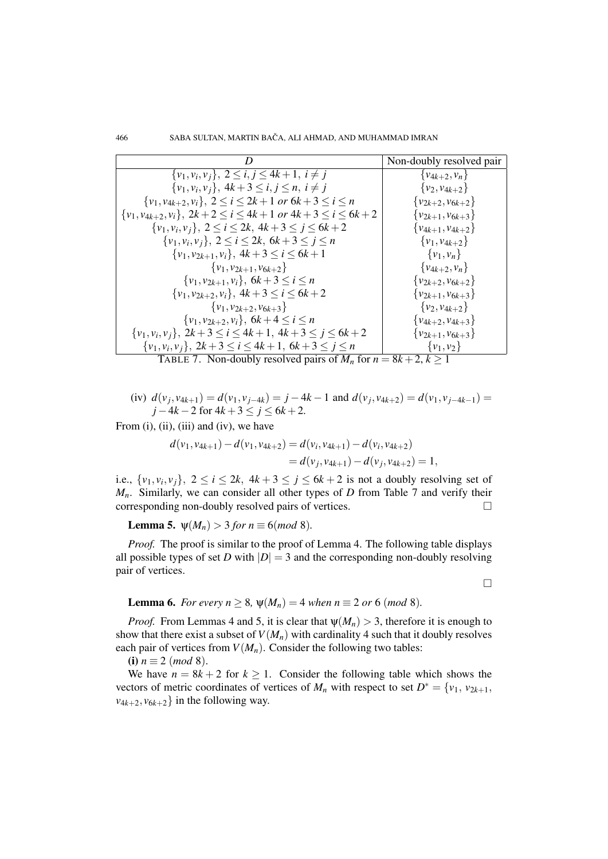|                                                                               | Non-doubly resolved pair  |
|-------------------------------------------------------------------------------|---------------------------|
| $\{v_1, v_i, v_j\}, 2 \le i, j \le 4k+1, i \ne j$                             | $\{v_{4k+2}, v_n\}$       |
| $\{v_1, v_i, v_j\}, 4k+3 \le i, j \le n, i \ne j$                             | $\{v_2, v_{4k+2}\}\$      |
| $\{v_1, v_{4k+2}, v_i\}, 2 \le i \le 2k+1$ or $6k+3 \le i \le n$              | $\{v_{2k+2}, v_{6k+2}\}\$ |
| $\{v_1, v_{4k+2}, v_i\}, 2k+2 \le i \le 4k+1 \text{ or } 4k+3 \le i \le 6k+2$ | $\{v_{2k+1}, v_{6k+3}\}\$ |
| $\{v_1, v_i, v_j\}, 2 \le i \le 2k, 4k+3 \le j \le 6k+2$                      | $\{v_{4k+1}, v_{4k+2}\}\$ |
| $\{v_1, v_i, v_j\}, 2 \le i \le 2k, 6k+3 \le j \le n$                         | $\{v_1, v_{4k+2}\}\$      |
| $\{v_1, v_{2k+1}, v_i\}, 4k+3 \le i \le 6k+1$                                 | $\{v_1, v_n\}$            |
| $\{v_1, v_{2k+1}, v_{6k+2}\}\$                                                | $\{v_{4k+2}, v_n\}$       |
| $\{v_1, v_{2k+1}, v_i\}, 6k+3 \le i \le n$                                    | $\{v_{2k+2}, v_{6k+2}\}\$ |
| $\{v_1, v_{2k+2}, v_i\}, 4k+3 \le i \le 6k+2$                                 | $\{v_{2k+1}, v_{6k+3}\}\$ |
| $\{v_1, v_{2k+2}, v_{6k+3}\}\$                                                | $\{v_2, v_{4k+2}\}\$      |
| $\{v_1, v_{2k+2}, v_i\}, 6k+4 \le i \le n$                                    | $\{v_{4k+2}, v_{4k+3}\}\$ |
| $\{v_1, v_i, v_j\}, 2k+3 \le i \le 4k+1, 4k+3 \le j \le 6k+2$                 | $\{v_{2k+1}, v_{6k+3}\}\$ |
| $\{v_1, v_i, v_j\}, 2k+3 \le i \le 4k+1, 6k+3 \le j \le n$                    | $\{v_1, v_2\}$            |

TABLE 7. Non-doubly resolved pairs of  $M_n$  for  $n = 8k + 2$ ,  $k \ge 1$ 

(iv) 
$$
d(v_j, v_{4k+1}) = d(v_1, v_{j-4k}) = j - 4k - 1
$$
 and  $d(v_j, v_{4k+2}) = d(v_1, v_{j-4k-1}) = j - 4k - 2$  for  $4k + 3 \le j \le 6k + 2$ .

From (i), (ii), (iii) and (iv), we have

$$
d(v_1, v_{4k+1}) - d(v_1, v_{4k+2}) = d(v_i, v_{4k+1}) - d(v_i, v_{4k+2})
$$
  
=  $d(v_j, v_{4k+1}) - d(v_j, v_{4k+2}) = 1$ ,

i.e.,  $\{v_1, v_i, v_j\}$ ,  $2 \le i \le 2k$ ,  $4k + 3 \le j \le 6k + 2$  is not a doubly resolving set of *Mn*. Similarly, we can consider all other types of *D* from Table 7 and verify their corresponding non-doubly resolved pairs of vertices.

**Lemma 5.**  $\psi(M_n) > 3$  *for*  $n \equiv 6 \pmod{8}$ *.* 

*Proof.* The proof is similar to the proof of Lemma 4. The following table displays all possible types of set *D* with  $|D| = 3$  and the corresponding non-doubly resolving pair of vertices.

 $\Box$ 

## **Lemma 6.** *For every n*  $\geq 8$ ,  $\psi(M_n) = 4$  *when n*  $\equiv 2$  *or* 6 *(mod* 8)*.*

*Proof.* From Lemmas 4 and 5, it is clear that  $\psi(M_n) > 3$ , therefore it is enough to show that there exist a subset of  $V(M_n)$  with cardinality 4 such that it doubly resolves each pair of vertices from  $V(M_n)$ . Consider the following two tables:

(i)  $n \equiv 2 \pmod{8}$ .

We have  $n = 8k + 2$  for  $k \ge 1$ . Consider the following table which shows the vectors of metric coordinates of vertices of  $M_n$  with respect to set  $D^* = \{v_1, v_{2k+1}, \dots, v_{2k+1}\}$  $v_{4k+2}, v_{6k+2}$  in the following way.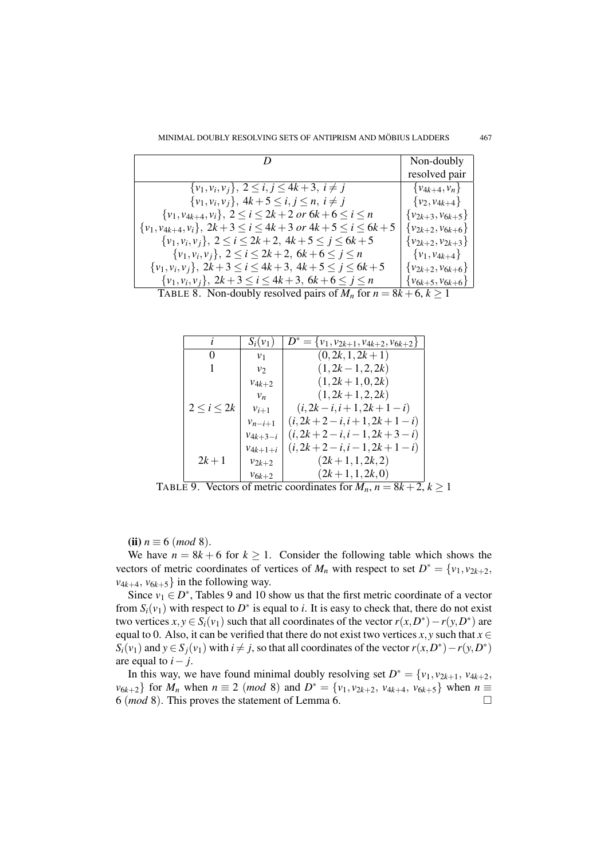|                                                                               | Non-doubly                |
|-------------------------------------------------------------------------------|---------------------------|
|                                                                               | resolved pair             |
| $\{v_1, v_i, v_j\}, 2 \le i, j \le 4k+3, i \ne j$                             | $\{v_{4k+4}, v_n\}$       |
| $\{v_1, v_i, v_j\}, 4k+5 \le i, j \le n, i \ne j$                             | $\{v_2, v_{4k+4}\}$       |
| $\{v_1, v_{4k+4}, v_i\}, 2 \le i \le 2k+2 \text{ or } 6k+6 \le i \le n$       | $\{v_{2k+3}, v_{6k+5}\}\$ |
| $\{v_1, v_{4k+4}, v_i\}, 2k+3 \le i \le 4k+3 \text{ or } 4k+5 \le i \le 6k+5$ | $\{v_{2k+2}, v_{6k+6}\}$  |
| $\{v_1, v_i, v_j\}, 2 \le i \le 2k+2, 4k+5 \le j \le 6k+5$                    | $\{v_{2k+2}, v_{2k+3}\}\$ |
| $\{v_1, v_i, v_j\}, 2 \le i \le 2k+2, 6k+6 \le j \le n$                       | $\{v_1, v_{4k+4}\}$       |
| $\{v_1, v_i, v_j\}, 2k+3 \le i \le 4k+3, 4k+5 \le j \le 6k+5$                 | $\{v_{2k+2}, v_{6k+6}\}$  |
| $\{v_1, v_i, v_j\}, 2k+3 \le i \le 4k+3, 6k+6 \le j \le n$                    | $\{v_{6k+5}, v_{6k+6}\}$  |
| TABLE 8. Non-doubly resolved pairs of $M_n$ for $n = 8k + 6, k \ge 1$         |                           |

| $\mathbf{I}$       | $S_i(v_1)$     | $D^* = \{v_1, v_{2k+1}, v_{4k+2}, v_{6k+2}\}\$ |
|--------------------|----------------|------------------------------------------------|
| 0                  | v <sub>1</sub> | $(0, 2k, 1, 2k+1)$                             |
| L                  | $v_{2}$        | $(1, 2k - 1, 2, 2k)$                           |
|                    | $v_{4k+2}$     | $(1, 2k+1, 0, 2k)$                             |
|                    | $v_n$          | $(1, 2k+1, 2, 2k)$                             |
| $2 \leq i \leq 2k$ | $v_{i+1}$      | $(i, 2k - i, i + 1, 2k + 1 - i)$               |
|                    | $v_{n-i+1}$    | $(i, 2k+2-i, i+1, 2k+1-i)$                     |
|                    | $v_{4k+3-i}$   | $(i, 2k+2-i, i-1, 2k+3-i)$                     |
|                    | $v_{4k+1+i}$   | $(i, 2k+2-i, i-1, 2k+1-i)$                     |
| $2k + 1$           | $v_{2k+2}$     | $(2k+1, 1, 2k, 2)$                             |
|                    | $v_{6k+2}$     | $(2k+1, 1, 2k, 0)$                             |

TABLE 9. Vectors of metric coordinates for  $M_n$ ,  $n = 8k + 2$ ,  $k \ge 1$ 

(ii)  $n \equiv 6 \pmod{8}$ .

We have  $n = 8k + 6$  for  $k \ge 1$ . Consider the following table which shows the vectors of metric coordinates of vertices of  $M_n$  with respect to set  $D^* = \{v_1, v_{2k+2}, \dots, v_{2k+2}\}$  $v_{4k+4}, v_{6k+5}$  in the following way.

Since  $v_1 \in D^*$ , Tables 9 and 10 show us that the first metric coordinate of a vector from  $S_i(v_1)$  with respect to  $D^*$  is equal to *i*. It is easy to check that, there do not exist two vertices  $x, y \in S_i(v_1)$  such that all coordinates of the vector  $r(x, D^*) - r(y, D^*)$  are equal to 0. Also, it can be verified that there do not exist two vertices *x*, *y* such that  $x \in$  $S_i(v_1)$  and  $y \in S_j(v_1)$  with  $i \neq j$ , so that all coordinates of the vector  $r(x, D^*) - r(y, D^*)$ are equal to  $i - j$ .

In this way, we have found minimal doubly resolving set  $D^* = \{v_1, v_{2k+1}, v_{4k+2}, \dots, v_{4k+2}\}$ *v*<sub>6*k*+2</sub>} for *M<sub>n</sub>* when  $n \equiv 2 \pmod{8}$  and  $D^* = \{v_1, v_{2k+2}, v_{4k+4}, v_{6k+5}\}$  when  $n \equiv 1$ 6 (*mod* 8). This proves the statement of Lemma 6.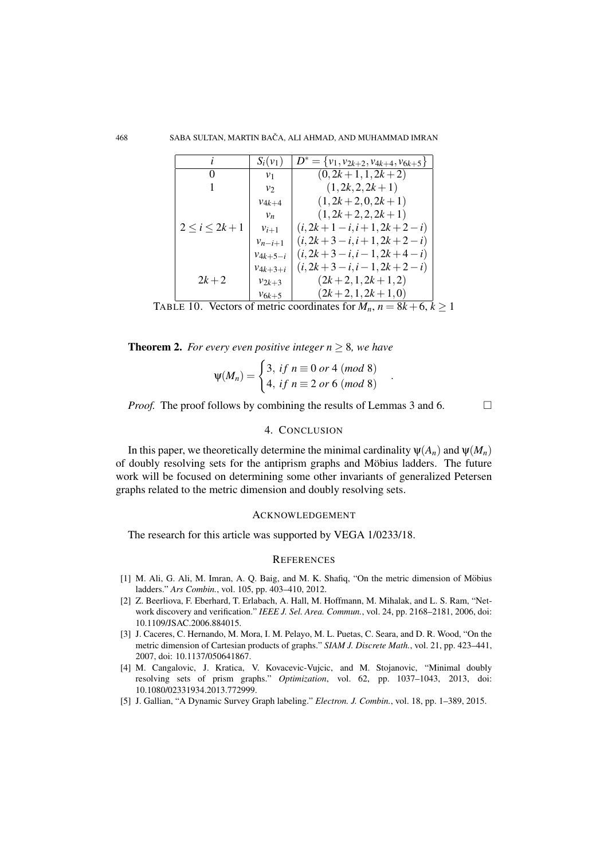|                      | $S_i(v_1)$     | $D^* = \{v_1, v_{2k+2}, v_{4k+4}, v_{6k+5}\}\$ |
|----------------------|----------------|------------------------------------------------|
| $\theta$             | v <sub>1</sub> | $(0, 2k+1, 1, 2k+2)$                           |
|                      | $v_{2}$        | $(1, 2k, 2, 2k+1)$                             |
|                      | $v_{4k+4}$     | $(1, 2k + 2, 0, 2k + 1)$                       |
|                      | $v_n$          | $(1, 2k+2, 2, 2k+1)$                           |
| $2 \leq i \leq 2k+1$ | $v_{i+1}$      | $(i, 2k+1-i, i+1, 2k+2-i)$                     |
|                      | $v_{n-i+1}$    | $(i, 2k+3-i, i+1, 2k+2-i)$                     |
|                      | $v_{4k+5-i}$   | $(i, 2k+3-i, i-1, 2k+4-i)$                     |
|                      | $v_{4k+3+i}$   | $(i, 2k+3-i, i-1, 2k+2-i)$                     |
| $2k + 2$             | $v_{2k+3}$     | $(2k+2,1,2k+1,2)$                              |
|                      | $v_{6k+5}$     | $(2k+2,1,2k+1,0)$                              |

TABLE 10. Vectors of metric coordinates for  $M_n$ ,  $n = 8k + 6$ ,  $k \ge 1$ 

**Theorem 2.** *For every even positive integer*  $n \geq 8$ *, we have* 

$$
\Psi(M_n) = \begin{cases} 3, & \text{if } n \equiv 0 \text{ or } 4 \pmod{8} \\ 4, & \text{if } n \equiv 2 \text{ or } 6 \pmod{8} \end{cases}
$$

.

*Proof.* The proof follows by combining the results of Lemmas 3 and 6.  $\Box$ 

## 4. CONCLUSION

In this paper, we theoretically determine the minimal cardinality  $\psi(A_n)$  and  $\psi(M_n)$ of doubly resolving sets for the antiprism graphs and Möbius ladders. The future work will be focused on determining some other invariants of generalized Petersen graphs related to the metric dimension and doubly resolving sets.

#### ACKNOWLEDGEMENT

The research for this article was supported by VEGA 1/0233/18.

#### **REFERENCES**

- [1] M. Ali, G. Ali, M. Imran, A. Q. Baig, and M. K. Shafiq, "On the metric dimension of Mobius ¨ ladders." *Ars Combin.*, vol. 105, pp. 403–410, 2012.
- [2] Z. Beerliova, F. Eberhard, T. Erlabach, A. Hall, M. Hoffmann, M. Mihalak, and L. S. Ram, "Network discovery and verification." *IEEE J. Sel. Area. Commun.*, vol. 24, pp. 2168–2181, 2006, doi: 10.1109/JSAC.2006.884015.
- [3] J. Caceres, C. Hernando, M. Mora, I. M. Pelayo, M. L. Puetas, C. Seara, and D. R. Wood, "On the metric dimension of Cartesian products of graphs." *SIAM J. Discrete Math.*, vol. 21, pp. 423–441, 2007, doi: 10.1137/050641867.
- [4] M. Cangalovic, J. Kratica, V. Kovacevic-Vujcic, and M. Stojanovic, "Minimal doubly resolving sets of prism graphs." *Optimization*, vol. 62, pp. 1037–1043, 2013, doi: 10.1080/02331934.2013.772999.
- [5] J. Gallian, "A Dynamic Survey Graph labeling." *Electron. J. Combin.*, vol. 18, pp. 1–389, 2015.